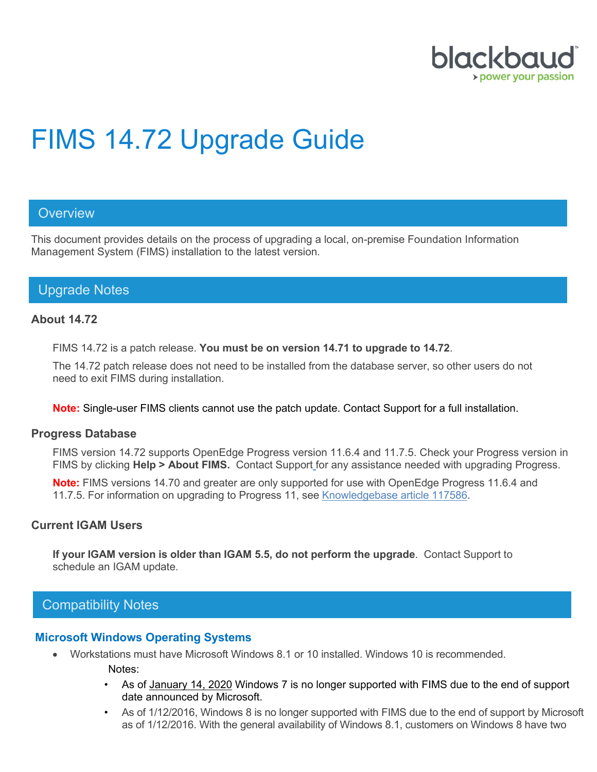

# FIMS 14.72 Upgrade Guide

#### **Overview**

This document provides details on the process of upgrading a local, on-premise Foundation Information Management System (FIMS) installation to the latest version.

## Upgrade Notes

#### **About 14.72**

FIMS 14.72 is a patch release. **You must be on version 14.71 to upgrade to 14.72**.

The 14.72 patch release does not need to be installed from the database server, so other users do not need to exit FIMS during installation.

#### **Note:** Single-user FIMS clients cannot use the patch update. Contact Support for a full installation.

#### **Progress Database**

FIMS version 14.72 supports OpenEdge Progress version 11.6.4 and 11.7.5. Check your Progress version in FIMS by clicking **Help > About FIMS.** Contact Support for any assistance needed with upgrading Progress.

**Note:** FIMS versions 14.70 and greater are only supported for use with OpenEdge Progress 11.6.4 and 11.7.5. For information on upgrading to Progress 11, see [Knowledgebase article 117586.](https://kb.blackbaud.com/articles/Article/117586?_ga=2.229194654.345548750.1549898302-1694641167.1503691833)

#### **Current IGAM Users**

**If your IGAM version is older than IGAM 5.5, do not perform the upgrade**. Contact Support to schedule an IGAM update.

### Compatibility Notes

#### **Microsoft Windows Operating Systems**

- Workstations must have Microsoft Windows 8.1 or 10 installed. Windows 10 is recommended.
	- Notes:
	- As of [January 14, 2020](https://support.microsoft.com/en-us/help/4057281) Windows 7 is no longer supported with FIMS due to the end of support date announced by Microsoft.
	- As of 1/12/2016, Windows 8 is no longer supported with FIMS due to the end of support by Microsoft as of 1/12/2016. With the general availability of Windows 8.1, customers on Windows 8 have two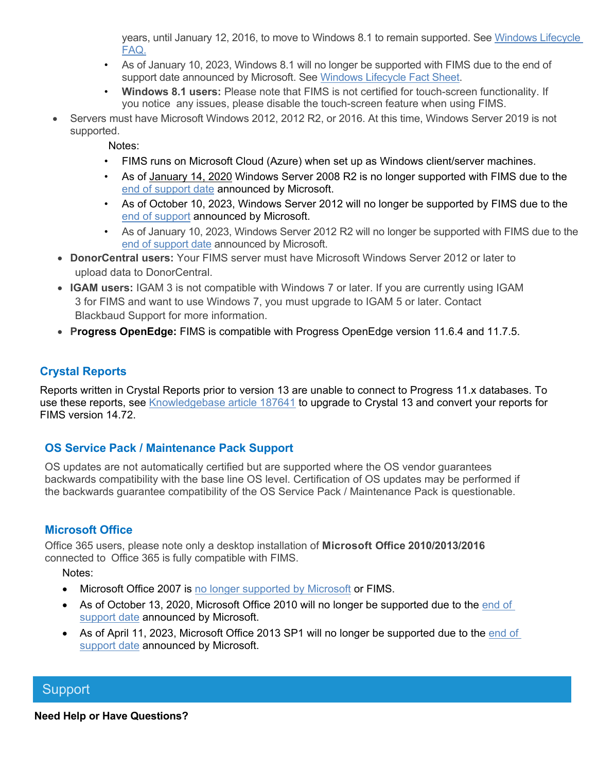years, until January 12, 2016, to move to Windows 8.1 to remain supported. See [Windows Lifecycle](https://support.microsoft.com/en-us/help/18581/lifecycle-faq-windows-products)  [FAQ.](https://support.microsoft.com/en-us/help/18581/lifecycle-faq-windows-products)

- As of January 10, 2023, Windows 8.1 will no longer be supported with FIMS due to the end of support date announced by Microsoft. See [Windows Lifecycle Fact Sheet.](https://support.microsoft.com/en-us/help/13853/windows-lifecycle-fact-sheet)
- **Windows 8.1 users:** Please note that FIMS is not certified for touch-screen functionality. If you notice any issues, please disable the touch-screen feature when using FIMS.
- Servers must have Microsoft Windows 2012, 2012 R2, or 2016. At this time, Windows Server 2019 is not supported.

Notes:

- FIMS runs on Microsoft Cloud (Azure) when set up as Windows client/server machines.
- As of [January 14, 2020](https://support.microsoft.com/en-us/help/4057281) Windows Server 2008 R2 is no longer supported with FIMS due to the [end of support date](https://support.microsoft.com/en-us/help/4456235/end-of-support-for-windows-server-2008-and-windows-server-2008-r2) announced by Microsoft.
- As of October 10, 2023, Windows Server 2012 will no longer be supported by FIMS due to the [end of support](https://support.microsoft.com/en-us/lifecycle/search?alpha=Windows%20Server%202012%20Standard) announced by Microsoft.
- As of January 10, 2023, Windows Server 2012 R2 will no longer be supported with FIMS due to the [end of support date](https://support.microsoft.com/en-us/lifecycle/search?alpha=Windows%20Server%202012%20Standard) announced by Microsoft.
- **DonorCentral users:** Your FIMS server must have Microsoft Windows Server 2012 or later to upload data to DonorCentral.
- **IGAM users:** IGAM 3 is not compatible with Windows 7 or later. If you are currently using IGAM 3 for FIMS and want to use Windows 7, you must upgrade to IGAM 5 or later. Contact Blackbaud Support for more information.
- **Progress OpenEdge:** FIMS is compatible with Progress OpenEdge version 11.6.4 and 11.7.5.

## **Crystal Reports**

Reports written in Crystal Reports prior to version 13 are unable to connect to Progress 11.x databases. To use these reports, see [Knowledgebase article 187641](https://kb.blackbaud.com/articles/Article/187641) to upgrade to Crystal 13 and convert your reports for FIMS version 14.72.

#### **OS Service Pack / Maintenance Pack Support**

OS updates are not automatically certified but are supported where the OS vendor guarantees backwards compatibility with the base line OS level. Certification of OS updates may be performed if the backwards guarantee compatibility of the OS Service Pack / Maintenance Pack is questionable.

## **Microsoft Office**

Office 365 users, please note only a desktop installation of **Microsoft Office 2010/2013/2016** connected to Office 365 is fully compatible with FIMS.

Notes:

- Microsoft Office 2007 is [no longer supported by Microsoft](https://docs.microsoft.com/en-us/deployoffice/office-2007-end-support-roadmap) or FIMS.
- As of October 13, 2020, Microsoft Office 2010 will no longer be supported due to the [end of](https://docs.microsoft.com/en-us/deployoffice/office-2010-end-support-roadmap)  [support date](https://docs.microsoft.com/en-us/deployoffice/office-2010-end-support-roadmap) announced by Microsoft.
- As of April 11, 2023, Microsoft Office 2013 SP1 will no longer be supported due to the end of [support date](https://support.microsoft.com/en-us/lifecycle/search/16674) announced by Microsoft.

## **Support**

**Need Help or Have Questions?**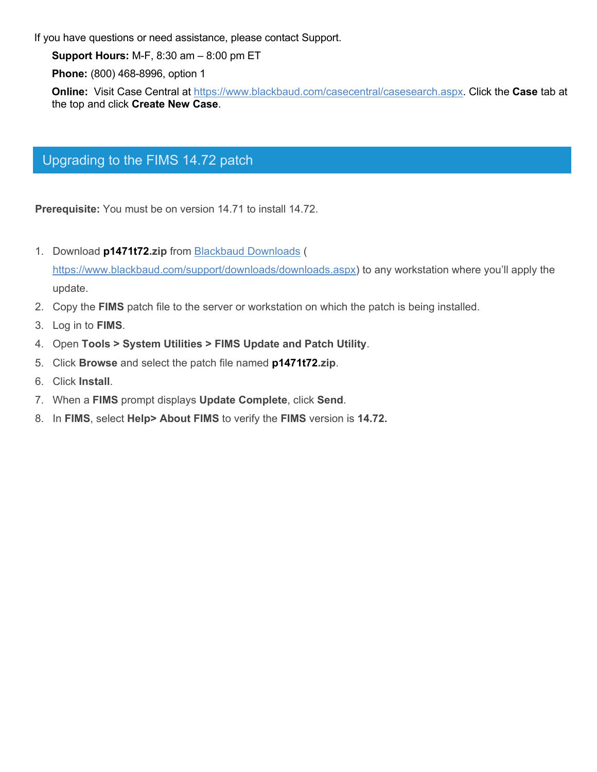If you have questions or need assistance, please contact Support.

**Support Hours:** M-F, 8:30 am – 8:00 pm ET

**Phone:** (800) 468-8996, option 1

**Online:** Visit Case Central at [https://www.blackbaud.com/casecentral/casesearch.aspx.](https://www.blackbaud.com/casecentral/casesearch.aspx) Click the **Case** tab at the top and click **Create New Case**.

## Upgrading to the FIMS 14.72 patch

**Prerequisite:** You must be on version 14.71 to install 14.72.

- 1. Download **p1471t72.zip** from [Blackbaud Downloads](https://www.blackbaud.com/support/downloads/downloads.aspx) ( [https://www.blackbaud.com/support/downloads/downloads.aspx\)](https://www.blackbaud.com/support/downloads/downloads.aspx) to any workstation where you'll apply the update.
- 2. Copy the **FIMS** patch file to the server or workstation on which the patch is being installed.
- 3. Log in to **FIMS**.
- 4. Open **Tools > System Utilities > FIMS Update and Patch Utility**.
- 5. Click **Browse** and select the patch file named **p1471t72.zip**.
- 6. Click **Install**.
- 7. When a **FIMS** prompt displays **Update Complete**, click **Send**.
- 8. In **FIMS**, select **Help> About FIMS** to verify the **FIMS** version is **14.72.**